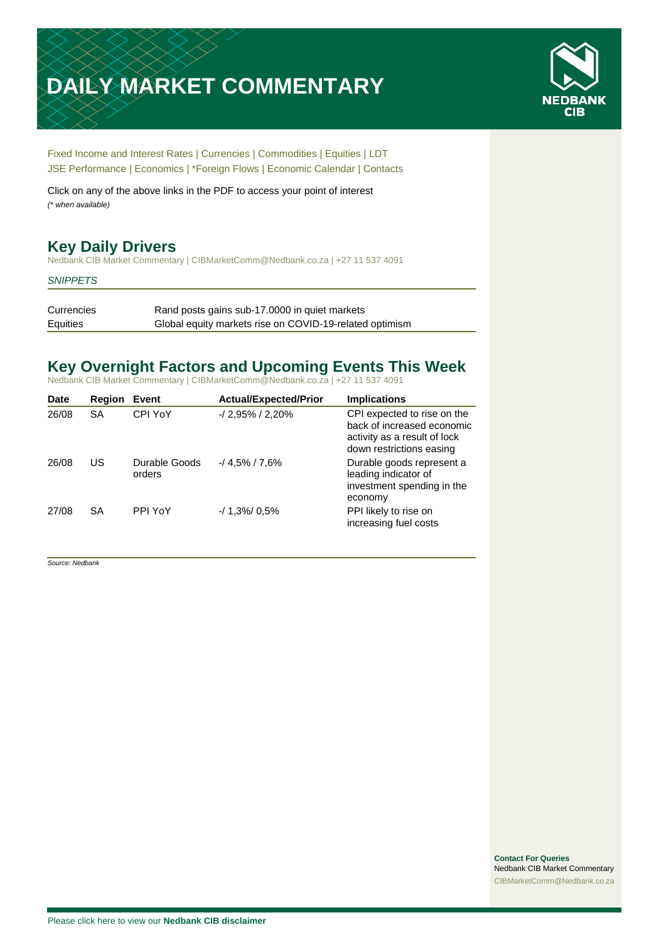# **DAILY MARKET COMMENTARY**



[Fixed Income and Interest Rates](#page-1-0) | [Currencies](#page-2-0) | [Commodities](#page-3-0) [| Equities](#page-4-0) | [LDT](#page-5-0) [JSE Performance](#page-6-0) | [Economics](#page-6-1) | [\\*Foreign Flows](#page-7-0) | [Economic Calendar](#page-8-0) | [Contacts](#page-9-0)

Click on any of the above links in the PDF to access your point of interest *(\* when available)*

# **Key Daily Drivers**

Nedbank CIB Market Commentary | CIBMarketComm@Nedbank.co.za | +27 11 537 4091

#### *SNIPPETS*

Currencies Rand posts gains sub-17.0000 in quiet markets Equities Global equity markets rise on COVID-19-related optimism

# **Key Overnight Factors and Upcoming Events This Week**

Nedbank CIB Market Commentary | CIBMarketComm@Nedbank.co.za | +27 11 537 4091

| <b>Date</b> | <b>Region</b> | Event                   | <b>Actual/Expected/Prior</b> | <b>Implications</b>                                                                                                   |
|-------------|---------------|-------------------------|------------------------------|-----------------------------------------------------------------------------------------------------------------------|
| 26/08       | <b>SA</b>     | CPI YoY                 | $-12.95\%$ / 2,20%           | CPI expected to rise on the<br>back of increased economic<br>activity as a result of lock<br>down restrictions easing |
| 26/08       | US            | Durable Goods<br>orders | $-14.5\%$ / 7.6%             | Durable goods represent a<br>leading indicator of<br>investment spending in the<br>economy                            |
| 27/08       | <b>SA</b>     | PPI YoY                 | $-1.3\%$ 0.5%                | PPI likely to rise on<br>increasing fuel costs                                                                        |

*Source: Nedbank*

**Contact For Queries** Nedbank CIB Market Commentary [CIBMarketComm@Nedbank.co.za](file:///C:/Users/Paul-Rose/AppData/Roaming/Bluecurve/templates/CIBMarketComm@Nedbank.co.za)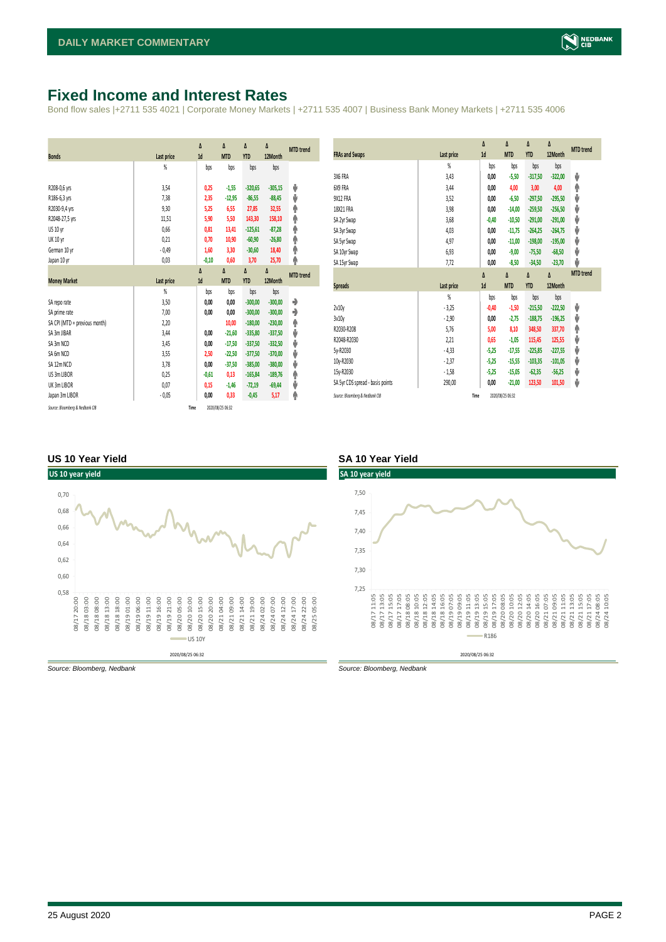# <span id="page-1-0"></span>**Fixed Income and Interest Rates**

Bond flow sales |+2711 535 4021 | Corporate Money Markets | +2711 535 4007 | Business Bank Money Markets | +2711 535 4006

| <b>Bonds</b>                  | <b>Last price</b> | Δ<br>1d | Δ<br><b>MTD</b> | Δ<br><b>YTD</b> | Δ<br>12Month | <b>MTD</b> trend |
|-------------------------------|-------------------|---------|-----------------|-----------------|--------------|------------------|
|                               | %                 | bps     | bps             | bps             | bps          |                  |
|                               |                   |         |                 |                 |              |                  |
| R208-0,6 yrs                  | 3,54              | 0,25    | $-1,55$         | $-320,65$       | $-305,15$    | ψ                |
| R186-6,3 yrs                  | 7,38              | 2,35    | $-12,95$        | $-86,55$        | $-88,45$     | ψ                |
| R2030-9,4 yrs                 | 9,30              | 5,25    | 6,55            | 27,85           | 32,55        | ۸                |
| R2048-27,5 yrs                | 11,51             | 5,90    | 5,50            | 143,30          | 158,10       | ۸                |
| US 10 yr                      | 0,66              | 0,81    | 13,41           | $-125,61$       | $-87,28$     | φ                |
| <b>UK 10 yr</b>               | 0,21              | 0,70    | 10,90           | $-60,90$        | $-26,80$     | ۸                |
| German 10 yr                  | $-0,49$           | 1,60    | 3,30            | $-30,60$        | 18,40        | ۸                |
| Japan 10 yr                   | 0,03              | $-0,10$ | 0,60            | 3,70            | 25,70        | φ                |
|                               |                   | Δ       | Δ               | Δ               | Δ            | <b>MTD</b> trend |
|                               |                   |         |                 |                 |              |                  |
| <b>Money Market</b>           | <b>Last price</b> | 1d      | <b>MTD</b>      | <b>YTD</b>      | 12Month      |                  |
|                               | $\frac{9}{20}$    | bps     | bps             | bps             | bps          |                  |
| SA repo rate                  | 3,50              | 0,00    | 0,00            | $-300,00$       | $-300,00$    | ۰                |
| SA prime rate                 | 7,00              | 0,00    | 0,00            | $-300,00$       | $-300,00$    | ٠                |
| SA CPI (MTD = previous month) | 2,20              |         | 10,00           | $-180.00$       | $-230,00$    | ۸                |
| SA 3m JIBAR                   | 3,44              | 0,00    | $-21,60$        | $-335,80$       | $-337,50$    | ψ                |
| SA 3m NCD                     | 3,45              | 0,00    | $-17,50$        | $-337,50$       | $-332,50$    | ψ                |
| SA 6m NCD                     | 3,55              | 2,50    | $-22,50$        | $-377,50$       | $-370,00$    | ψ                |
| SA 12m NCD                    | 3,78              | 0.00    | $-37,50$        | $-385.00$       | $-380,00$    | ψ                |
| US 3m LIBOR                   | 0,25              | $-0,61$ | 0,13            | $-165,84$       | $-189,76$    | ۸                |
| UK 3m LIBOR                   | 0,07              | 0,15    | $-1,46$         | $-72,19$        | $-69,44$     | ψ                |
| Japan 3m LIBOR                | $-0,05$           | 0.00    | 0,33            | $-0,45$         | 5,17         | ۸                |

| <b>FRAs and Swaps</b>            | Last price | Δ<br>1d | Δ<br><b>MTD</b> | Δ<br><b>YTD</b> | Δ<br>12Month | <b>MTD</b> trend |
|----------------------------------|------------|---------|-----------------|-----------------|--------------|------------------|
|                                  | %          | bps     | bps             | bps             | bps          |                  |
| 3X6 FRA                          | 3,43       | 0,00    | $-5,50$         | $-317,50$       | $-322,00$    | ψ                |
| 6X9 FRA                          | 3.44       | 0,00    | 4,00            | 3,00            | 4,00         | ٨                |
| <b>9X12 FRA</b>                  | 3,52       | 0,00    | $-6,50$         | $-297,50$       | $-295,50$    | ψ                |
| 18X21 FRA                        | 3,98       | 0,00    | $-14,00$        | $-259.50$       | $-256.50$    | ψ                |
| SA 2yr Swap                      | 3,68       | $-0,40$ | $-10,50$        | $-291,00$       | $-291,00$    | V                |
| SA 3yr Swap                      | 4,03       | 0,00    | $-11,75$        | $-264.25$       | $-264.75$    | ψ                |
| SA 5yr Swap                      | 4,97       | 0,00    | $-11,00$        | $-198,00$       | $-195,00$    | V                |
| SA 10yr Swap                     | 6,93       | 0,00    | $-9,00$         | $-75,50$        | $-68,50$     | ψ                |
| SA 15yr Swap                     | 7,72       | 0,00    | $-8,50$         | $-34,50$        | $-23,70$     | J                |
|                                  |            |         |                 |                 |              |                  |
|                                  |            | Δ       | Δ               | Δ               | Δ            | <b>MTD</b> trend |
| <b>Spreads</b>                   | Last price | 1d      | <b>MTD</b>      | <b>YTD</b>      | 12Month      |                  |
|                                  | %          | bps     | bps             | bps             | bps          |                  |
| 2v10v                            | $-3,25$    | $-0,40$ | $-1,50$         | $-215,50$       | $-222,50$    | ψ                |
| 3v10y                            | $-2,90$    | 0,00    | $-2,75$         | $-188,75$       | $-196,25$    | ψ                |
| R2030-R208                       | 5,76       | 5,00    | 8,10            | 348,50          | 337,70       | φ                |
| R2048-R2030                      | 2,21       | 0,65    | $-1,05$         | 115,45          | 125,55       | ψ                |
| 5y-R2030                         | $-4,33$    | $-5,25$ | $-17,55$        | $-225,85$       | $-227,55$    | ψ                |
| 10y-R2030                        | $-2,37$    | $-5,25$ | $-15,55$        | $-103,35$       | $-101,05$    | ψ                |
| 15y-R2030                        | $-1,58$    | $-5,25$ | $-15,05$        | $-62,35$        | $-56,25$     | ψ                |
| SA 5yr CDS spread - basis points | 290,00     | 0,00    | $-21,00$        | 123,50          | 101,50       | ψ                |

#### **US 10 Year Yield SA 10 Year Yield**



*Source: Bloomberg, Nedbank Source: Bloomberg, Nedbank*

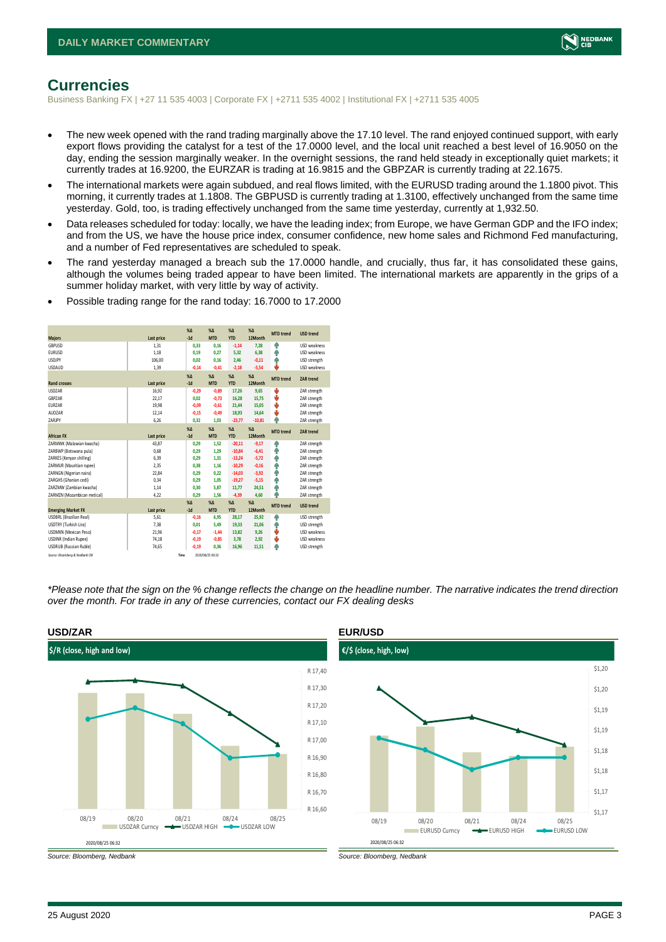

## <span id="page-2-0"></span>**Currencies**

Business Banking FX | +27 11 535 4003 | Corporate FX | +2711 535 4002 | Institutional FX | +2711 535 4005

- The new week opened with the rand trading marginally above the 17.10 level. The rand enjoyed continued support, with early export flows providing the catalyst for a test of the 17.0000 level, and the local unit reached a best level of 16.9050 on the day, ending the session marginally weaker. In the overnight sessions, the rand held steady in exceptionally quiet markets; it currently trades at 16.9200, the EURZAR is trading at 16.9815 and the GBPZAR is currently trading at 22.1675.
- The international markets were again subdued, and real flows limited, with the EURUSD trading around the 1.1800 pivot. This morning, it currently trades at 1.1808. The GBPUSD is currently trading at 1.3100, effectively unchanged from the same time yesterday. Gold, too, is trading effectively unchanged from the same time yesterday, currently at 1,932.50.
- Data releases scheduled for today: locally, we have the leading index; from Europe, we have German GDP and the IFO index; and from the US, we have the house price index, consumer confidence, new home sales and Richmond Fed manufacturing, and a number of Fed representatives are scheduled to speak.
- The rand yesterday managed a breach sub the 17.0000 handle, and crucially, thus far, it has consolidated these gains, although the volumes being traded appear to have been limited. The international markets are apparently in the grips of a summer holiday market, with very little by way of activity.

| <b>Majors</b>                   | Last price | $X\Delta$<br>$-1d$ | X <sub>A</sub><br><b>MTD</b> | $% \Delta$<br><b>YTD</b> | $% \Delta$<br>12Month | <b>MTD</b> trend | <b>USD trend</b>    |
|---------------------------------|------------|--------------------|------------------------------|--------------------------|-----------------------|------------------|---------------------|
| GBPUSD                          | 1.31       | 0,33               | 0.16                         | $-1,14$                  | 7.28                  | ŵ                | USD weakness        |
| <b>EURUSD</b>                   | 1.18       | 0.19               | 0.27                         | 5.32                     | 6.38                  | φ                | <b>USD</b> weakness |
| <b>USDJPY</b>                   | 106,00     | 0.02               | 0.16                         | 2,46                     | $-0,11$               | Φ                | USD strength        |
| <b>USDAUD</b>                   | 1,39       | $-0,14$            | $-0,41$                      | $-2,18$                  | $-5,54$               | d,               | <b>USD</b> weakness |
|                                 |            | $X\Delta$          | $X\Delta$                    | $% \Delta$               | $% \Delta$            | <b>MTD</b> trend | ZAR trend           |
| <b>Rand crosses</b>             | Last price | $-1d$              | <b>MTD</b>                   | <b>YTD</b>               | 12Month               |                  |                     |
| <b>USDZAR</b>                   | 16,92      | $-0,29$            | $-0,89$                      | 17,26                    | 9,65                  | ψ                | ZAR strength        |
| GBPZAR                          | 22,17      | 0.02               | $-0.73$                      | 16,28                    | 15,75                 | ψ                | ZAR strength        |
| <b>FURZAR</b>                   | 19,98      | $-0.09$            | $-0.61$                      | 21.44                    | 15.05                 | ψ                | ZAR strength        |
| AUDZAR                          | 12,14      | $-0,15$            | $-0.49$                      | 18,93                    | 14.64                 | ψ                | ZAR strength        |
| ZARJPY                          | 6,26       | 0,32               | 1,03                         | $-23,77$                 | $-10,81$              | 4                | ZAR strength        |
|                                 |            | X <sub>A</sub>     | X <sub>A</sub>               | $% \Delta$               | $% \Delta$            | <b>MTD</b> trend | ZAR trend           |
| <b>African FX</b>               | Last price | $-1d$              | <b>MTD</b>                   | <b>YTD</b>               | 12Month               |                  |                     |
| ZARMWK (Malawian kwacha)        | 43,87      | 0,29               | 1.52                         | $-20,11$                 | $-9,17$               | ŵ                | ZAR strength        |
| ZARBWP (Botswana pula)          | 0.68       | 0.29               | 1.29                         | $-10,84$                 | $-6,41$               | φ                | ZAR strength        |
| ZARKES (Kenyan shilling)        | 6.39       | 0.29               | 1.31                         | $-13,24$                 | $-5.72$               | Φ                | ZAR strength        |
| ZARMUR (Mauritian rupee)        | 2.35       | 0.38               | 1.16                         | $-10,29$                 | $-0.16$               | φ                | ZAR strength        |
| ZARNGN (Nigerian naira)         | 22,84      | 0,29               | 0,22                         | $-14,03$                 | $-3,92$               | Φ                | ZAR strength        |
| ZARGHS (Ghanian cedi)           | 0.34       | 0.29               | 1.05                         | $-19,27$                 | $-5,15$               | Φ                | ZAR strength        |
| ZARZMW (Zambian kwacha)         | 1,14       | 0,30               | 5,87                         | 11,77                    | 24,51                 | Φ                | ZAR strength        |
| ZARMZN (Mozambican metical)     | 4,22       | 0.29               | 1.56                         | $-4,39$                  | 4,60                  | 4                | ZAR strength        |
|                                 |            | $X\Delta$          | X <sub>A</sub>               | $% \Delta$               | $% \Delta$            | <b>MTD</b> trend | <b>USD trend</b>    |
| <b>Emerging Market FX</b>       | Last price | $-1d$              | <b>MTD</b>                   | <b>YTD</b>               | 12Month               |                  |                     |
| <b>USDBRL (Brazilian Real)</b>  | 5,61       | $-0.16$            | 6.95                         | 28.17                    | 25.92                 | ŵ                | USD strength        |
| USDTRY (Turkish Lira)           | 7.38       | 0.01               | 5.49                         | 19,33                    | 21,06                 | Φ                | USD strength        |
| <b>USDMXN (Mexican Peso)</b>    | 21,96      | $-0.17$            | $-1.44$                      | 13,82                    | 9.26                  | ψ                | <b>USD</b> weakness |
| <b>USDINR</b> (Indian Rupee)    | 74,18      | $-0,19$            | $-0,85$                      | 3.78                     | 2,92                  | ψ                | USD weakness        |
| <b>USDRUB (Russian Ruble)</b>   | 74,65      | $-0.19$            | 0.36                         | 16.96                    | 11,51                 | Φ                | USD strength        |
| Source: Bloomberg & Nedbank CIB |            | Time               | 2020/08/25 06:32             |                          |                       |                  |                     |

• Possible trading range for the rand today: 16.7000 to 17.2000

*\*Please note that the sign on the % change reflects the change on the headline number. The narrative indicates the trend direction over the month. For trade in any of these currencies, contact our FX dealing desks*



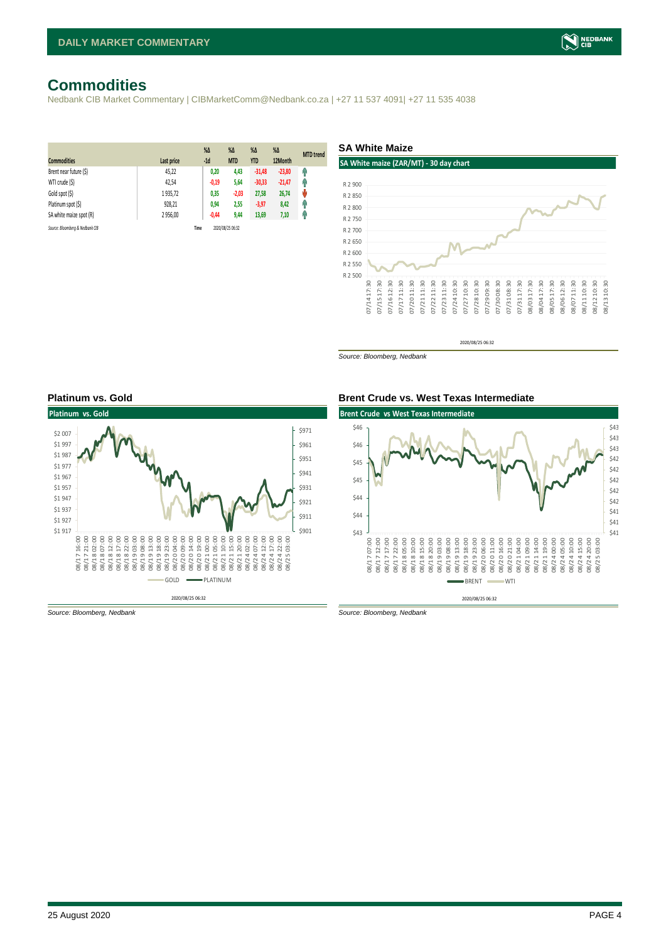# <span id="page-3-0"></span>**Commodities**

Nedbank CIB Market Commentary | CIBMarketComm@Nedbank.co.za | +27 11 537 4091| +27 11 535 4038

| <b>Commodities</b>              | Last price | $%$ $\Delta$<br>$-1d$ | %Δ<br><b>MTD</b> | $% \Delta$<br><b>YTD</b> | $%$ $\Delta$<br>12Month | <b>MTD</b> trend |
|---------------------------------|------------|-----------------------|------------------|--------------------------|-------------------------|------------------|
| Brent near future (\$)          | 45,22      | 0,20                  | 4,43             | $-31,48$                 | $-23,80$                | Ĥ                |
| WTI crude (\$)                  | 42.54      | $-0,19$               | 5,64             | $-30,33$                 | $-21,47$                | Ĥ                |
| Gold spot (\$)                  | 1935,72    | 0,35                  | $-2,03$          | 27,58                    | 26,74                   | ۸                |
| Platinum spot (\$)              | 928,21     | 0,94                  | 2,55             | $-3,97$                  | 8,42                    | Ĥ                |
| SA white maize spot (R)         | 2 956,00   | $-0,44$               | 9,44             | 13,69                    | 7,10                    | Ĥ                |
| Source: Bloombera & Nedbank CIB |            | Time                  | 2020/08/25 06:32 |                          |                         |                  |

**SA White Maize**



*Source: Bloomberg, Nedbank*





*Source: Bloomberg, Nedbank Source: Bloomberg, Nedbank*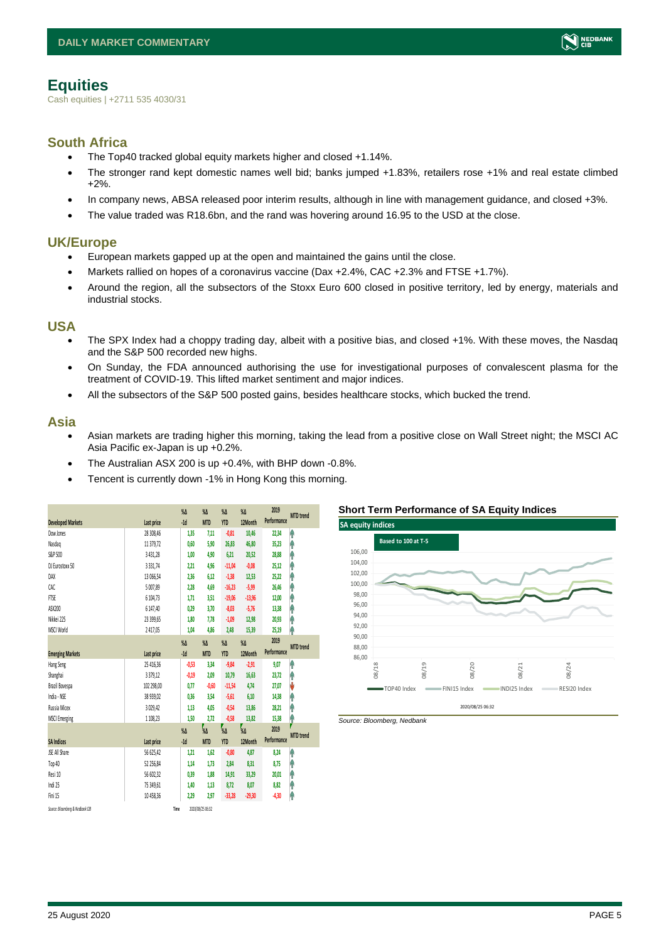# <span id="page-4-0"></span>**Equities**

Cash equities | +2711 535 4030/31

### **South Africa**

- The Top40 tracked global equity markets higher and closed +1.14%.
- The stronger rand kept domestic names well bid; banks jumped +1.83%, retailers rose +1% and real estate climbed +2%.
- In company news, ABSA released poor interim results, although in line with management guidance, and closed +3%.
- The value traded was R18.6bn, and the rand was hovering around 16.95 to the USD at the close.

### **UK/Europe**

- European markets gapped up at the open and maintained the gains until the close.
- Markets rallied on hopes of a coronavirus vaccine (Dax +2.4%, CAC +2.3% and FTSE +1.7%).
- Around the region, all the subsectors of the Stoxx Euro 600 closed in positive territory, led by energy, materials and industrial stocks.

#### **USA**

- The SPX Index had a choppy trading day, albeit with a positive bias, and closed +1%. With these moves, the Nasdaq and the S&P 500 recorded new highs.
- On Sunday, the FDA announced authorising the use for investigational purposes of convalescent plasma for the treatment of COVID-19. This lifted market sentiment and major indices.
- All the subsectors of the S&P 500 posted gains, besides healthcare stocks, which bucked the trend.

#### **Asia**

- Asian markets are trading higher this morning, taking the lead from a positive close on Wall Street night; the MSCI AC Asia Pacific ex-Japan is up +0.2%.
- The Australian ASX 200 is up +0.4%, with BHP down -0.8%.
- Tencent is currently down -1% in Hong Kong this morning.

|                                 |               | $\%$ $\Delta$    | $\%$ $\Delta$    | $\%$ $\Delta$ | $\%$ $\Delta$ | 2019        | <b>MTD</b> trend      |
|---------------------------------|---------------|------------------|------------------|---------------|---------------|-------------|-----------------------|
| <b>Developed Markets</b>        | Last price    | $-1d$            | <b>MTD</b>       | <b>YTD</b>    | 12Month       | Performance |                       |
| Dow Jones                       | 28 308,46     | 1,35             | 7,11             | $-0,81$       | 10,46         | 22,34       | ٨                     |
| Nasdaq                          | 11 379,72     | 0.60             | 5,90             | 26,83         | 46,80         | 35,23       | ۸                     |
| S&P 500                         | 3 4 3 1 , 2 8 | 1,00             | 4,90             | 6,21          | 20,52         | 28,88       | ł                     |
| DJ Eurostoxx 50                 | 3 3 3 1 , 7 4 | 2,21             | 4,96             | $-11,04$      | $-0.08$       | 25,12       | ۸                     |
| DAX                             | 13 066.54     | 2.36             | 6.12             | $-1,38$       | 12,53         | 25,22       | ۸                     |
| CAC                             | 5 007.89      | 2.28             | 4.69             | $-16,23$      | $-5,99$       | 26.46       | Ą                     |
| FTSE                            | 6 104,73      | 1,71             | 3,51             | $-19,06$      | $-13,96$      | 12,00       | ٨                     |
| ASX200                          | 6 147,40      | 0,29             | 3.70             | $-8,03$       | $-5,76$       | 13,38       | ł                     |
| Nikkei 225                      | 23 399.65     | 1,80             | 7,78             | $-1,09$       | 12,98         | 20,93       | ۸                     |
| MSCI World                      | 2417.05       | 1.04             | 4,86             | 2,48          | 15,39         | 25,19       | ۸                     |
|                                 |               | $\%$ $\Delta$    | $\%$ $\Delta$    | $\%$ $\Delta$ | $\%$ $\Delta$ | 2019        | <b>MTD</b> trend      |
| <b>Emerging Markets</b>         | Last price    | $-1d$            | <b>MTD</b>       | <b>YTD</b>    | 12Month       | Performance |                       |
| Hang Seng                       | 25 416,36     | $-0.53$          | 3,34             | $-9,84$       | $-2,91$       | 9,07        | ۸                     |
| Shanghai                        | 3379,12       | $-0.19$          | 2.09             | 10,79         | 16.63         | 23,72       | ۸                     |
| Brazil Bovespa                  | 102 298,00    | 0,77             | $-0,60$          | $-11,54$      | 4,74          | 27,07       | J                     |
| India - NSE                     | 38 939,02     | 0,36             | 3,54             | $-5,61$       | 6,10          | 14,38       | ۸                     |
| Russia Micex                    | 3 0 29,42     | 1,13             | 4.05             | $-0,54$       | 13,86         | 28,21       | ۸                     |
| <b>MSCI Emerging</b>            | 1 1 08, 23    | 1,50             | 2,72             | $-0,58$       | 13,82         | 15,38       | ٨                     |
|                                 |               | $\sqrt{\Lambda}$ | 7<br>Ул          | ,<br>%Δ       | ,<br>%Δ       | 2019        | 7<br><b>MTD</b> trend |
| <b>SA Indices</b>               | Last price    | $-1d$            | <b>MTD</b>       | <b>YTD</b>    | 12Month       | Performance |                       |
| JSE All Share                   | 56 625.42     | 1,21             | 1.62             | $-0,80$       | 4.87          | 8.24        | ٨                     |
| Top 40                          | 52 256,84     | 1,14             | 1,73             | 2,84          | 8,31          | 8,75        | ۸                     |
| Resi 10                         | 56 602,32     | 0.39             | 1.88             | 14,91         | 33,29         | 20,01       | ۸                     |
| Indi 25                         | 75 349,61     | 1,40             | 1,13             | 8,72          | 8,07          | 8,82        | ۸                     |
| Fini 15                         | 10 458.36     | 2,29             | 2.97             | $-33,28$      | $-29,30$      | $-4,30$     | ł                     |
| Source: Bloomberg & Nedbank CIB |               | Time             | 2020/08/25 06:32 |               |               |             |                       |



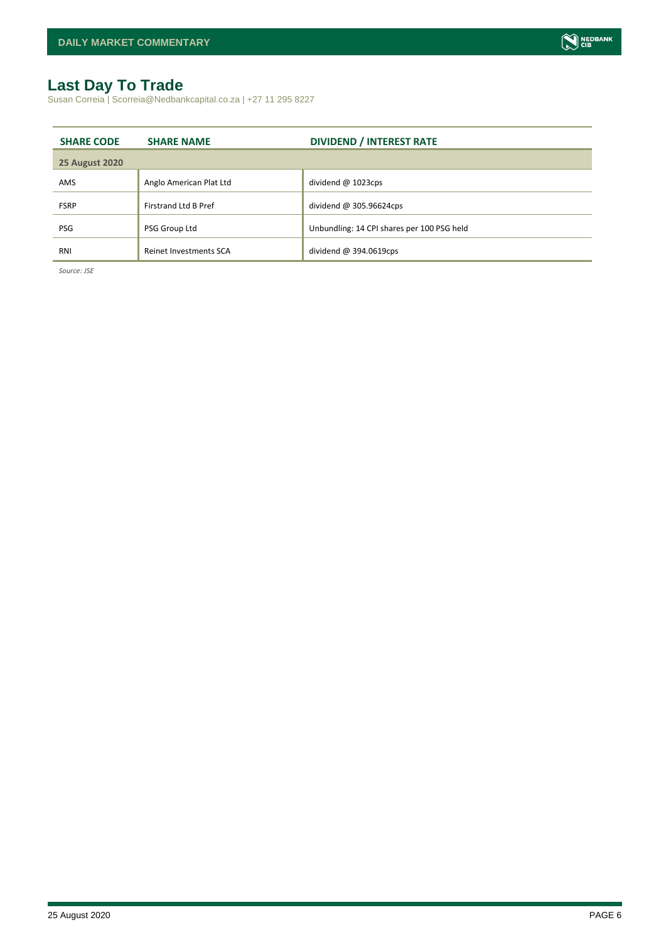# <span id="page-5-0"></span>**Last Day To Trade**

Susan Correia | Scorreia@Nedbankcapital.co.za | +27 11 295 8227

| <b>SHARE CODE</b>     | <b>SHARE NAME</b>           | <b>DIVIDEND / INTEREST RATE</b>            |
|-----------------------|-----------------------------|--------------------------------------------|
| <b>25 August 2020</b> |                             |                                            |
| AMS                   | Anglo American Plat Ltd     | dividend $@$ 1023cps                       |
| <b>FSRP</b>           | <b>Firstrand Ltd B Pref</b> | dividend @ 305.96624cps                    |
| <b>PSG</b>            | PSG Group Ltd               | Unbundling: 14 CPI shares per 100 PSG held |
| RNI                   | Reinet Investments SCA      | dividend $@394.0619$ cps                   |

*Source: JSE*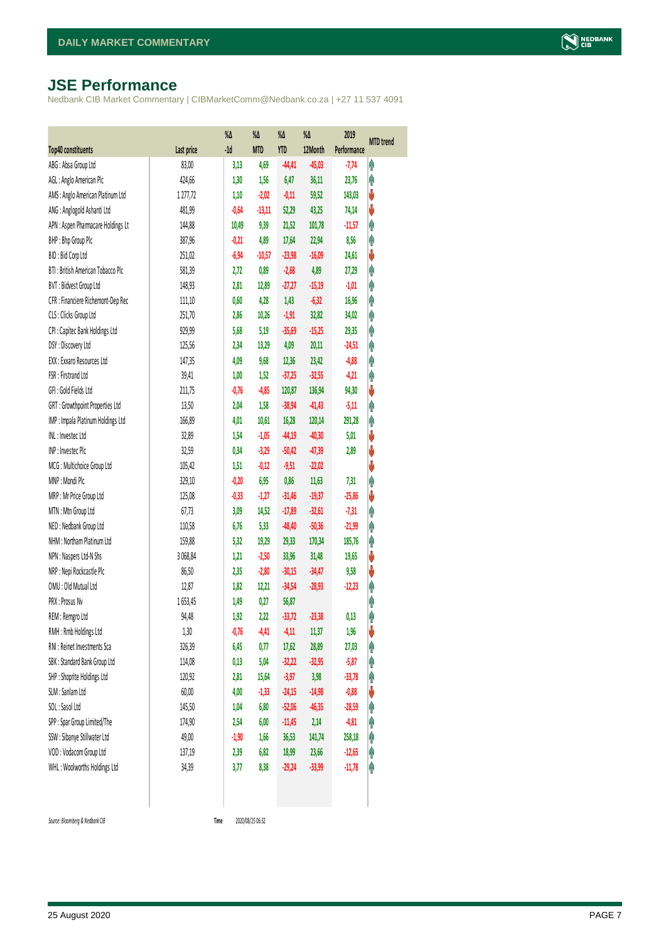# <span id="page-6-0"></span>**JSE Performance**

Nedbank CIB Market Commentary | CIBMarketComm@Nedbank.co.za | +27 11 537 4091

|                                    |            | $% \Delta$ | %Δ         | %Δ         | %Δ       | 2019        | <b>MTD</b> trend |
|------------------------------------|------------|------------|------------|------------|----------|-------------|------------------|
| <b>Top40 constituents</b>          | Last price | $-1d$      | <b>MTD</b> | <b>YTD</b> | 12Month  | Performance |                  |
| ABG: Absa Group Ltd                | 83,00      | 3,13       | 4,69       | $-44,41$   | $-45,03$ | $-7,74$     | φ                |
| AGL : Anglo American Plc           | 424,66     | 1,30       | 1,56       | 6,47       | 36,11    | 23,76       | φ                |
| AMS: Anglo American Platinum Ltd   | 1277,72    | 1,10       | $-2,02$    | $-0,11$    | 59,52    | 143,03      | V                |
| ANG: Anglogold Ashanti Ltd         | 481,99     | $-0,64$    | $-13,11$   | 52,29      | 43,25    | 74,14       | ψ                |
| APN : Aspen Pharmacare Holdings Lt | 144,88     | 10,49      | 9,39       | 21,52      | 101,78   | $-11,57$    | φ                |
| BHP: Bhp Group Plc                 | 387,96     | $-0,21$    | 4,89       | 17,64      | 22,94    | 8,56        | φ                |
| BID: Bid Corp Ltd                  | 251,02     | $-6,94$    | $-10,57$   | $-23,98$   | $-16,09$ | 24,61       | ψ                |
| BTI: British American Tobacco Plc  | 581,39     | 2,72       | 0,89       | $-2,68$    | 4,89     | 27,29       | φ                |
| BVT: Bidvest Group Ltd             | 148,93     | 2,81       | 12,89      | $-27,27$   | $-15,19$ | $-1,01$     | Ą                |
| CFR : Financiere Richemont-Dep Rec | 111,10     | 0,60       | 4,28       | 1,43       | $-6,32$  | 16,96       | Ą                |
| CLS : Clicks Group Ltd             | 251,70     | 2,86       | 10,26      | $-1,91$    | 32,82    | 34,02       | φ                |
| CPI : Capitec Bank Holdings Ltd    | 929,99     | 5,68       | 5,19       | $-35,69$   | $-15,25$ | 29,35       | φ                |
| DSY: Discovery Ltd                 | 125,56     | 2,34       | 13,29      | 4,09       | 20,11    | $-24,51$    | φ                |
| EXX : Exxaro Resources Ltd         | 147,35     | 4,09       | 9,68       | 12,36      | 23,42    | $-4,88$     | φ                |
| FSR: Firstrand Ltd                 | 39,41      | 1,00       | 1,52       | $-37,25$   | $-32,55$ | $-4,21$     | φ                |
| GFI: Gold Fields Ltd               | 211,75     | $-0,76$    | $-4,85$    | 120,87     | 136,94   | 94,30       | ψ                |
| GRT : Growthpoint Properties Ltd   | 13,50      | 2,04       | 1,58       | $-38,94$   | $-41,43$ | $-5,11$     | φ                |
| IMP : Impala Platinum Holdings Ltd | 166,89     | 4,01       | 10,61      | 16,28      | 120,14   | 291,28      | Ą                |
| INL: Investec Ltd                  | 32,89      | 1,54       | $-1,05$    | $-44,19$   | $-40,30$ | 5,01        | V                |
| INP: Investec Plc                  | 32,59      | 0,34       | $-3,29$    | $-50,42$   | $-47,39$ | 2,89        | ψ                |
| MCG: Multichoice Group Ltd         | 105,42     | 1,51       | $-0,12$    | $-9,51$    | $-22,02$ |             | V                |
| MNP: Mondi Plc                     | 329,10     | $-0,20$    | 6,95       | 0,86       | 11,63    | 7,31        | Ą                |
| MRP : Mr Price Group Ltd           | 125,08     | $-0,33$    | $-1,27$    | $-31,46$   | $-19,37$ | $-25,86$    | ψ                |
| MTN: Mtn Group Ltd                 | 67,73      | 3,09       | 14,52      | $-17,89$   | $-32,61$ | $-7,31$     | φ                |
| NED: Nedbank Group Ltd             | 110,58     | 6,76       | 5,33       | $-48,40$   | $-50,36$ | $-21,99$    | φ                |
| NHM: Northam Platinum Ltd          | 159,88     | 5,32       | 19,29      | 29,33      | 170,34   | 185,76      | φ                |
| NPN : Naspers Ltd-N Shs            | 3 068,84   | 1,21       | $-2,50$    | 33,96      | 31,48    | 19,65       | V                |
| NRP : Nepi Rockcastle Plc          | 86,50      | 2,35       | $-2,80$    | $-30,15$   | $-34,47$ | 9,58        | ψ                |
| OMU: Old Mutual Ltd                | 12,87      | 1,82       | 12,21      | $-34,54$   | $-28,93$ | $-12,23$    | φ                |
| PRX: Prosus Nv                     | 1653,45    | 1,49       | 0,27       | 56,87      |          |             | φ                |
| REM : Remgro Ltd                   | 94,48      | 1,92       | 2,22       | $-33,72$   | $-23,38$ | 0,13        | Ą                |
| RMH : Rmb Holdings Ltd             | 1,30       | $-0,76$    | $-4,41$    | $-4,11$    | 11,37    | 1,96        | ψ                |
| RNI : Reinet Investments Sca       | 326,39     | 6,45       | 0,77       | 17,62      | 28,89    | 27,03       | φ                |
| SBK: Standard Bank Group Ltd       | 114,08     | 0,13       | 5,04       | $-32,22$   | $-32,95$ | $-5,87$     | φ                |
| SHP: Shoprite Holdings Ltd         | 120,92     | 2,81       | 15,64      | $-3,97$    | 3,98     | $-33,78$    | φ                |
| SLM : Sanlam Ltd                   | 60,00      | 4,00       | $-1,33$    | $-24,15$   | $-14,98$ | $-0,88$     | ψ                |
| SOL: Sasol Ltd                     | 145,50     | 1,04       | 6,80       | $-52,06$   | $-46,35$ | $-28,59$    | φ                |
| SPP: Spar Group Limited/The        | 174,90     | 2,54       | 6,00       | $-11,45$   | 2,14     | $-4,81$     | Ĥ                |
| SSW : Sibanye Stillwater Ltd       | 49,00      | $-1,90$    | 1,66       | 36,53      | 141,74   | 258,18      | φ                |
| VOD: Vodacom Group Ltd             | 137,19     | 2,39       | 6,82       | 18,99      | 23,66    | $-12,65$    |                  |
|                                    |            |            |            |            |          |             | φ                |
| WHL: Woolworths Holdings Ltd       | 34,39      | 3,77       | 8,38       | $-29,24$   | $-33,99$ | $-11,78$    | φ                |
|                                    |            |            |            |            |          |             |                  |

<span id="page-6-1"></span> $Source: Bloomberg & Nedbank *CB*$ 

2020/08/25 06:32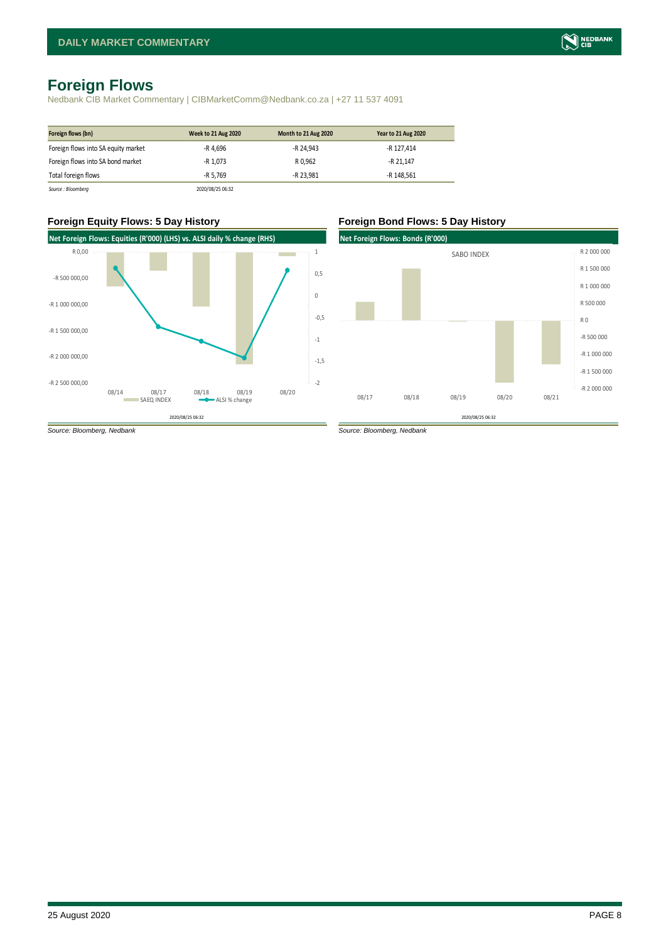# <span id="page-7-0"></span>**Foreign Flows**

Nedbank CIB Market Commentary | CIBMarketComm@Nedbank.co.za | +27 11 537 4091

| Foreign flows (bn)                  | <b>Week to 21 Aug 2020</b> | Month to 21 Aug 2020 | <b>Year to 21 Aug 2020</b> |
|-------------------------------------|----------------------------|----------------------|----------------------------|
| Foreign flows into SA equity market | -R 4.696                   | -R 24.943            | -R 127.414                 |
| Foreign flows into SA bond market   | -R 1.073                   | R 0.962              | -R 21.147                  |
| Total foreign flows                 | -R 5.769                   | -R 23.981            | -R 148.561                 |
| Source : Bloomberg                  | 2020/08/25 06:32           |                      |                            |

#### **Foreign Equity Flows: 5 Day History Foreign Bond Flows: 5 Day History**



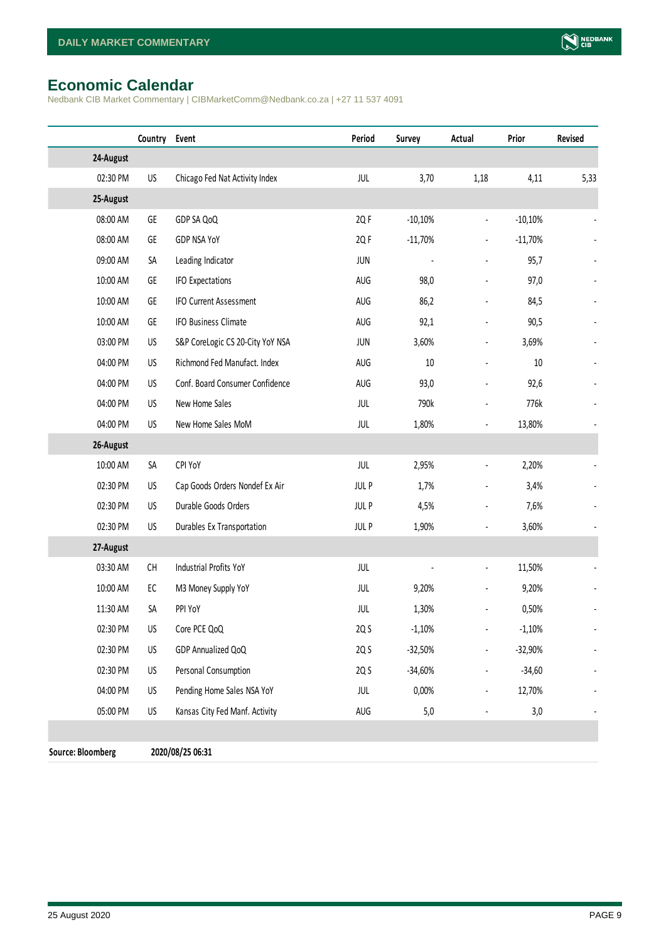# <span id="page-8-0"></span>**Economic Calendar**

Nedbank CIB Market Commentary | CIBMarketComm@Nedbank.co.za | +27 11 537 4091

|                          | Country Event                                                                           |                                  | Period      | Survey    | Actual                   | Prior     | Revised |
|--------------------------|-----------------------------------------------------------------------------------------|----------------------------------|-------------|-----------|--------------------------|-----------|---------|
| 24-August                |                                                                                         |                                  |             |           |                          |           |         |
| 02:30 PM                 | US                                                                                      | Chicago Fed Nat Activity Index   | <b>JUL</b>  | 3,70      | 1,18                     | 4,11      | 5,33    |
| 25-August                |                                                                                         |                                  |             |           |                          |           |         |
| 08:00 AM                 | GE                                                                                      | GDP SA QoQ                       | 2Q F        | $-10,10%$ | $\overline{a}$           | $-10,10%$ |         |
| 08:00 AM                 | GE                                                                                      | GDP NSA YoY                      | 2Q F        | $-11,70%$ |                          | $-11,70%$ |         |
| 09:00 AM                 | SA                                                                                      | Leading Indicator                | <b>JUN</b>  |           |                          | 95,7      |         |
| 10:00 AM                 | GE                                                                                      | <b>IFO Expectations</b>          | AUG         | 98,0      |                          | 97,0      |         |
| 10:00 AM                 | GE                                                                                      | IFO Current Assessment           | AUG         | 86,2      |                          | 84,5      |         |
| 10:00 AM                 | GE                                                                                      | IFO Business Climate             | AUG         | 92,1      |                          | 90,5      |         |
| 03:00 PM                 | US                                                                                      | S&P CoreLogic CS 20-City YoY NSA | <b>JUN</b>  | 3,60%     | $\blacksquare$           | 3,69%     |         |
| 04:00 PM                 | US                                                                                      | Richmond Fed Manufact. Index     | AUG         | $10\,$    |                          | 10        |         |
| 04:00 PM                 | US                                                                                      | Conf. Board Consumer Confidence  | AUG         | 93,0      |                          | 92,6      |         |
| 04:00 PM                 | US                                                                                      | New Home Sales                   | <b>JUL</b>  | 790k      |                          | 776k      |         |
| 04:00 PM                 | US                                                                                      | New Home Sales MoM               | <b>JUL</b>  | 1,80%     | $\overline{\phantom{a}}$ | 13,80%    |         |
| 26-August                |                                                                                         |                                  |             |           |                          |           |         |
| 10:00 AM                 | SA                                                                                      | CPI YoY                          | JUL         | 2,95%     | $\blacksquare$           | 2,20%     |         |
| 02:30 PM                 | US                                                                                      | Cap Goods Orders Nondef Ex Air   | <b>JULP</b> | 1,7%      |                          | 3,4%      |         |
| 02:30 PM                 | US                                                                                      | Durable Goods Orders             | <b>JULP</b> | 4,5%      |                          | 7,6%      |         |
| 02:30 PM                 | US                                                                                      | Durables Ex Transportation       | <b>JULP</b> | 1,90%     |                          | 3,60%     |         |
| 27-August                |                                                                                         |                                  |             |           |                          |           |         |
| 03:30 AM                 | $\mathsf{CH}% \left( \mathcal{M}\right) \equiv\mathsf{CH}^{3}\left( \mathcal{M}\right)$ | <b>Industrial Profits YoY</b>    | JUL         |           | $\frac{1}{2}$            | 11,50%    |         |
| 10:00 AM                 | EC                                                                                      | M3 Money Supply YoY              | JUL         | 9,20%     | $\overline{a}$           | 9,20%     |         |
| 11:30 AM                 | SA                                                                                      | PPI YoY                          | <b>JUL</b>  | 1,30%     |                          | 0,50%     |         |
| 02:30 PM                 | US                                                                                      | Core PCE QoQ                     | 2Q S        | $-1,10%$  |                          | $-1,10%$  |         |
| 02:30 PM                 | US                                                                                      | GDP Annualized QoQ               | 2Q S        | $-32,50%$ |                          | $-32,90%$ |         |
| 02:30 PM                 | US                                                                                      | Personal Consumption             | 2Q S        | $-34,60%$ |                          | $-34,60$  |         |
| 04:00 PM                 | US                                                                                      | Pending Home Sales NSA YoY       | JUL         | 0,00%     | $\overline{\phantom{a}}$ | 12,70%    |         |
| 05:00 PM                 | US                                                                                      | Kansas City Fed Manf. Activity   | AUG         | 5,0       |                          | 3,0       |         |
|                          |                                                                                         |                                  |             |           |                          |           |         |
| <b>Source: Bloomberg</b> |                                                                                         | 2020/08/25 06:31                 |             |           |                          |           |         |